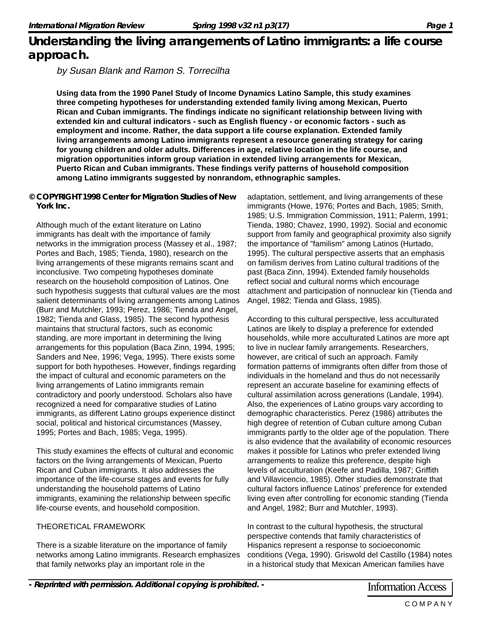by Susan Blank and Ramon S. Torrecilha

**Using data from the 1990 Panel Study of Income Dynamics Latino Sample, this study examines three competing hypotheses for understanding extended family living among Mexican, Puerto Rican and Cuban immigrants. The findings indicate no significant relationship between living with extended kin and cultural indicators - such as English fluency - or economic factors - such as employment and income. Rather, the data support a life course explanation. Extended family living arrangements among Latino immigrants represent a resource generating strategy for caring for young children and older adults. Differences in age, relative location in the life course, and migration opportunities inform group variation in extended living arrangements for Mexican, Puerto Rican and Cuban immigrants. These findings verify patterns of household composition among Latino immigrants suggested by nonrandom, ethnographic samples.**

**© COPYRIGHT 1998 Center for Migration Studies of New York Inc.**

Although much of the extant literature on Latino immigrants has dealt with the importance of family networks in the immigration process (Massey et al., 1987; Portes and Bach, 1985; Tienda, 1980), research on the living arrangements of these migrants remains scant and inconclusive. Two competing hypotheses dominate research on the household composition of Latinos. One such hypothesis suggests that cultural values are the most salient determinants of living arrangements among Latinos (Burr and Mutchler, 1993; Perez, 1986; Tienda and Angel, 1982; Tienda and Glass, 1985). The second hypothesis maintains that structural factors, such as economic standing, are more important in determining the living arrangements for this population (Baca Zinn, 1994, 1995; Sanders and Nee, 1996; Vega, 1995). There exists some support for both hypotheses. However, findings regarding the impact of cultural and economic parameters on the living arrangements of Latino immigrants remain contradictory and poorly understood. Scholars also have recognized a need for comparative studies of Latino immigrants, as different Latino groups experience distinct social, political and historical circumstances (Massey, 1995; Portes and Bach, 1985; Vega, 1995).

This study examines the effects of cultural and economic factors on the living arrangements of Mexican, Puerto Rican and Cuban immigrants. It also addresses the importance of the life-course stages and events for fully understanding the household patterns of Latino immigrants, examining the relationship between specific life-course events, and household composition.

#### THEORETICAL FRAMEWORK

There is a sizable literature on the importance of family networks among Latino immigrants. Research emphasizes that family networks play an important role in the

adaptation, settlement, and living arrangements of these immigrants (Howe, 1976; Portes and Bach, 1985; Smith, 1985; U.S. Immigration Commission, 1911; Palerm, 1991; Tienda, 1980; Chavez, 1990, 1992). Social and economic support from family and geographical proximity also signify the importance of "familism" among Latinos (Hurtado, 1995). The cultural perspective asserts that an emphasis on familism derives from Latino cultural traditions of the past (Baca Zinn, 1994). Extended family households reflect social and cultural norms which encourage attachment and participation of nonnuclear kin (Tienda and Angel, 1982; Tienda and Glass, 1985).

According to this cultural perspective, less acculturated Latinos are likely to display a preference for extended households, while more acculturated Latinos are more apt to live in nuclear family arrangements. Researchers, however, are critical of such an approach. Family formation patterns of immigrants often differ from those of individuals in the homeland and thus do not necessarily represent an accurate baseline for examining effects of cultural assimilation across generations (Landale, 1994). Also, the experiences of Latino groups vary according to demographic characteristics. Perez (1986) attributes the high degree of retention of Cuban culture among Cuban immigrants partly to the older age of the population. There is also evidence that the availability of economic resources makes it possible for Latinos who prefer extended living arrangements to realize this preference, despite high levels of acculturation (Keefe and Padilla, 1987; Griffith and Villavicencio, 1985). Other studies demonstrate that cultural factors influence Latinos' preference for extended living even after controlling for economic standing (Tienda and Angel, 1982; Burr and Mutchler, 1993).

In contrast to the cultural hypothesis, the structural perspective contends that family characteristics of Hispanics represent a response to socioeconomic conditions (Vega, 1990). Griswold del Castillo (1984) notes in a historical study that Mexican American families have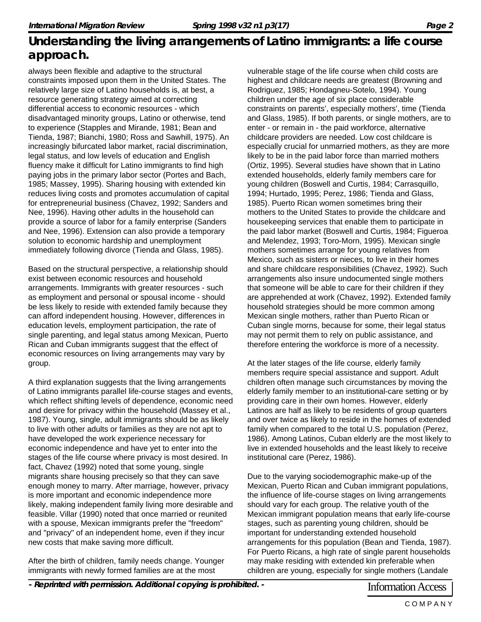always been flexible and adaptive to the structural constraints imposed upon them in the United States. The relatively large size of Latino households is, at best, a resource generating strategy aimed at correcting differential access to economic resources - which disadvantaged minority groups, Latino or otherwise, tend to experience (Stapples and Mirande, 1981; Bean and Tienda, 1987; Bianchi, 1980; Ross and Sawhill, 1975). An increasingly bifurcated labor market, racial discrimination, legal status, and low levels of education and English fluency make it difficult for Latino immigrants to find high paying jobs in the primary labor sector (Portes and Bach, 1985; Massey, 1995). Sharing housing with extended kin reduces living costs and promotes accumulation of capital for entrepreneurial business (Chavez, 1992; Sanders and Nee, 1996). Having other adults in the household can provide a source of labor for a family enterprise (Sanders and Nee, 1996). Extension can also provide a temporary solution to economic hardship and unemployment immediately following divorce (Tienda and Glass, 1985).

Based on the structural perspective, a relationship should exist between economic resources and household arrangements. Immigrants with greater resources - such as employment and personal or spousal income - should be less likely to reside with extended family because they can afford independent housing. However, differences in education levels, employment participation, the rate of single parenting, and legal status among Mexican, Puerto Rican and Cuban immigrants suggest that the effect of economic resources on living arrangements may vary by group.

A third explanation suggests that the living arrangements of Latino immigrants parallel life-course stages and events, which reflect shifting levels of dependence, economic need and desire for privacy within the household (Massey et al., 1987). Young, single, adult immigrants should be as likely to live with other adults or families as they are not apt to have developed the work experience necessary for economic independence and have yet to enter into the stages of the life course where privacy is most desired. In fact, Chavez (1992) noted that some young, single migrants share housing precisely so that they can save enough money to marry. After marriage, however, privacy is more important and economic independence more likely, making independent family living more desirable and feasible. Villar (1990) noted that once married or reunited with a spouse, Mexican immigrants prefer the "freedom" and "privacy" of an independent home, even if they incur new costs that make saving more difficult.

After the birth of children, family needs change. Younger immigrants with newly formed families are at the most

vulnerable stage of the life course when child costs are highest and childcare needs are greatest (Browning and Rodriguez, 1985; Hondagneu-Sotelo, 1994). Young children under the age of six place considerable constraints on parents', especially mothers', time (Tienda and Glass, 1985). If both parents, or single mothers, are to enter - or remain in - the paid workforce, alternative childcare providers are needed. Low cost childcare is especially crucial for unmarried mothers, as they are more likely to be in the paid labor force than married mothers (Ortiz, 1995). Several studies have shown that in Latino extended households, elderly family members care for young children (Boswell and Curtis, 1984; Carrasquillo, 1994; Hurtado, 1995; Perez, 1986; Tienda and Glass, 1985). Puerto Rican women sometimes bring their mothers to the United States to provide the childcare and housekeeping services that enable them to participate in the paid labor market (Boswell and Curtis, 1984; Figueroa and Melendez, 1993; Toro-Morn, 1995). Mexican single mothers sometimes arrange for young relatives from Mexico, such as sisters or nieces, to live in their homes and share childcare responsibilities (Chavez, 1992). Such arrangements also insure undocumented single mothers that someone will be able to care for their children if they are apprehended at work (Chavez, 1992). Extended family household strategies should be more common among Mexican single mothers, rather than Puerto Rican or Cuban single morns, because for some, their legal status may not permit them to rely on public assistance, and therefore entering the workforce is more of a necessity.

At the later stages of the life course, elderly family members require special assistance and support. Adult children often manage such circumstances by moving the elderly family member to an institutional-care setting or by providing care in their own homes. However, elderly Latinos are half as likely to be residents of group quarters and over twice as likely to reside in the homes of extended family when compared to the total U.S. population (Perez, 1986). Among Latinos, Cuban elderly are the most likely to live in extended households and the least likely to receive institutional care (Perez, 1986).

Due to the varying sociodemographic make-up of the Mexican, Puerto Rican and Cuban immigrant populations, the influence of life-course stages on living arrangements should vary for each group. The relative youth of the Mexican immigrant population means that early life-course stages, such as parenting young children, should be important for understanding extended household arrangements for this population (Bean and Tienda, 1987). For Puerto Ricans, a high rate of single parent households may make residing with extended kin preferable when children are young, especially for single mothers (Landale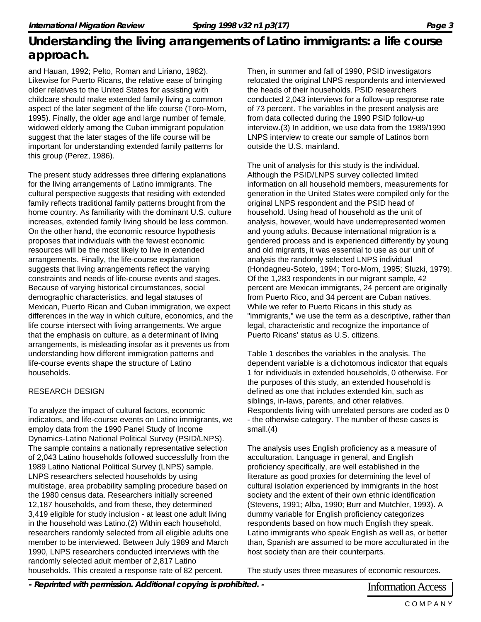and Hauan, 1992; Pelto, Roman and Liriano, 1982). Likewise for Puerto Ricans, the relative ease of bringing older relatives to the United States for assisting with childcare should make extended family living a common aspect of the later segment of the life course (Toro-Morn, 1995). Finally, the older age and large number of female, widowed elderly among the Cuban immigrant population suggest that the later stages of the life course will be important for understanding extended family patterns for this group (Perez, 1986).

The present study addresses three differing explanations for the living arrangements of Latino immigrants. The cultural perspective suggests that residing with extended family reflects traditional family patterns brought from the home country. As familiarity with the dominant U.S. culture increases, extended family living should be less common. On the other hand, the economic resource hypothesis proposes that individuals with the fewest economic resources will be the most likely to live in extended arrangements. Finally, the life-course explanation suggests that living arrangements reflect the varying constraints and needs of life-course events and stages. Because of varying historical circumstances, social demographic characteristics, and legal statuses of Mexican, Puerto Rican and Cuban immigration, we expect differences in the way in which culture, economics, and the life course intersect with living arrangements. We argue that the emphasis on culture, as a determinant of living arrangements, is misleading insofar as it prevents us from understanding how different immigration patterns and life-course events shape the structure of Latino households.

### RESEARCH DESIGN

To analyze the impact of cultural factors, economic indicators, and life-course events on Latino immigrants, we employ data from the 1990 Panel Study of Income Dynamics-Latino National Political Survey (PSID/LNPS). The sample contains a nationally representative selection of 2,043 Latino households followed successfully from the 1989 Latino National Political Survey (LNPS) sample. LNPS researchers selected households by using multistage, area probability sampling procedure based on the 1980 census data. Researchers initially screened 12,187 households, and from these, they determined 3,419 eligible for study inclusion - at least one adult living in the household was Latino.(2) Within each household, researchers randomly selected from all eligible adults one member to be interviewed. Between July 1989 and March 1990, LNPS researchers conducted interviews with the randomly selected adult member of 2,817 Latino households. This created a response rate of 82 percent.

Then, in summer and fall of 1990, PSID investigators relocated the original LNPS respondents and interviewed the heads of their households. PSID researchers conducted 2,043 interviews for a follow-up response rate of 73 percent. The variables in the present analysis are from data collected during the 1990 PSID follow-up interview.(3) In addition, we use data from the 1989/1990 LNPS interview to create our sample of Latinos born outside the U.S. mainland.

The unit of analysis for this study is the individual. Although the PSID/LNPS survey collected limited information on all household members, measurements for generation in the United States were compiled only for the original LNPS respondent and the PSID head of household. Using head of household as the unit of analysis, however, would have underrepresented women and young adults. Because international migration is a gendered process and is experienced differently by young and old migrants, it was essential to use as our unit of analysis the randomly selected LNPS individual (Hondagneu-Sotelo, 1994; Toro-Morn, 1995; Sluzki, 1979). Of the 1,283 respondents in our migrant sample, 42 percent are Mexican immigrants, 24 percent are originally from Puerto Rico, and 34 percent are Cuban natives. While we refer to Puerto Ricans in this study as "immigrants," we use the term as a descriptive, rather than legal, characteristic and recognize the importance of Puerto Ricans' status as U.S. citizens.

Table 1 describes the variables in the analysis. The dependent variable is a dichotomous indicator that equals 1 for individuals in extended households, 0 otherwise. For the purposes of this study, an extended household is defined as one that includes extended kin, such as siblings, in-laws, parents, and other relatives. Respondents living with unrelated persons are coded as 0 - the otherwise category. The number of these cases is small.(4)

The analysis uses English proficiency as a measure of acculturation. Language in general, and English proficiency specifically, are well established in the literature as good proxies for determining the level of cultural isolation experienced by immigrants in the host society and the extent of their own ethnic identification (Stevens, 1991; Alba, 1990; Burr and Mutchler, 1993). A dummy variable for English proficiency categorizes respondents based on how much English they speak. Latino immigrants who speak English as well as, or better than, Spanish are assumed to be more acculturated in the host society than are their counterparts.

The study uses three measures of economic resources.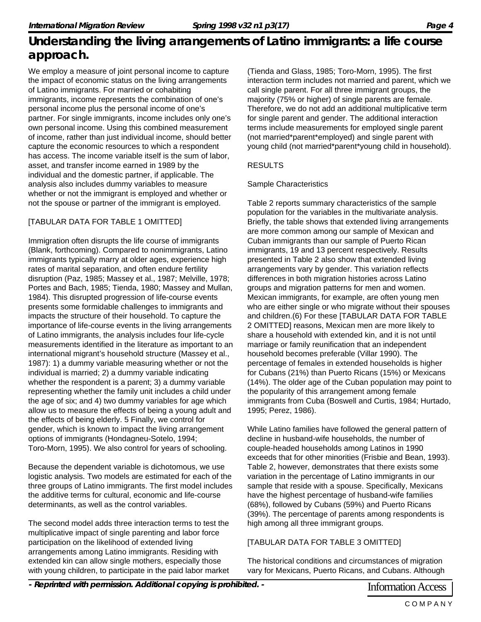We employ a measure of joint personal income to capture the impact of economic status on the living arrangements of Latino immigrants. For married or cohabiting immigrants, income represents the combination of one's personal income plus the personal income of one's partner. For single immigrants, income includes only one's own personal income. Using this combined measurement of income, rather than just individual income, should better capture the economic resources to which a respondent has access. The income variable itself is the sum of labor, asset, and transfer income earned in 1989 by the individual and the domestic partner, if applicable. The analysis also includes dummy variables to measure whether or not the immigrant is employed and whether or not the spouse or partner of the immigrant is employed.

### [TABULAR DATA FOR TABLE 1 OMITTED]

Immigration often disrupts the life course of immigrants (Blank, forthcoming). Compared to nonimmigrants, Latino immigrants typically marry at older ages, experience high rates of marital separation, and often endure fertility disruption (Paz, 1985; Massey et al., 1987; Melville, 1978; Portes and Bach, 1985; Tienda, 1980; Massey and Mullan, 1984). This disrupted progression of life-course events presents some formidable challenges to immigrants and impacts the structure of their household. To capture the importance of life-course events in the living arrangements of Latino immigrants, the analysis includes four life-cycle measurements identified in the literature as important to an international migrant's household structure (Massey et al., 1987): 1) a dummy variable measuring whether or not the individual is married; 2) a dummy variable indicating whether the respondent is a parent; 3) a dummy variable representing whether the family unit includes a child under the age of six; and 4) two dummy variables for age which allow us to measure the effects of being a young adult and the effects of being elderly. 5 Finally, we control for gender, which is known to impact the living arrangement options of immigrants (Hondagneu-Sotelo, 1994; Toro-Morn, 1995). We also control for years of schooling.

Because the dependent variable is dichotomous, we use logistic analysis. Two models are estimated for each of the three groups of Latino immigrants. The first model includes the additive terms for cultural, economic and life-course determinants, as well as the control variables.

The second model adds three interaction terms to test the multiplicative impact of single parenting and labor force participation on the likelihood of extended living arrangements among Latino immigrants. Residing with extended kin can allow single mothers, especially those with young children, to participate in the paid labor market (Tienda and Glass, 1985; Toro-Morn, 1995). The first interaction term includes not married and parent, which we call single parent. For all three immigrant groups, the majority (75% or higher) of single parents are female. Therefore, we do not add an additional multiplicative term for single parent and gender. The additional interaction terms include measurements for employed single parent (not married\*parent\*employed) and single parent with young child (not married\*parent\*young child in household).

### RESULTS

### Sample Characteristics

Table 2 reports summary characteristics of the sample population for the variables in the multivariate analysis. Briefly, the table shows that extended living arrangements are more common among our sample of Mexican and Cuban immigrants than our sample of Puerto Rican immigrants, 19 and 13 percent respectively. Results presented in Table 2 also show that extended living arrangements vary by gender. This variation reflects differences in both migration histories across Latino groups and migration patterns for men and women. Mexican immigrants, for example, are often young men who are either single or who migrate without their spouses and children.(6) For these [TABULAR DATA FOR TABLE 2 OMITTED] reasons, Mexican men are more likely to share a household with extended kin, and it is not until marriage or family reunification that an independent household becomes preferable (Villar 1990). The percentage of females in extended households is higher for Cubans (21%) than Puerto Ricans (15%) or Mexicans (14%). The older age of the Cuban population may point to the popularity of this arrangement among female immigrants from Cuba (Boswell and Curtis, 1984; Hurtado, 1995; Perez, 1986).

While Latino families have followed the general pattern of decline in husband-wife households, the number of couple-headed households among Latinos in 1990 exceeds that for other minorities (Frisbie and Bean, 1993). Table 2, however, demonstrates that there exists some variation in the percentage of Latino immigrants in our sample that reside with a spouse. Specifically, Mexicans have the highest percentage of husband-wife families (68%), followed by Cubans (59%) and Puerto Ricans (39%). The percentage of parents among respondents is high among all three immigrant groups.

#### [TABULAR DATA FOR TABLE 3 OMITTED]

The historical conditions and circumstances of migration vary for Mexicans, Puerto Ricans, and Cubans. Although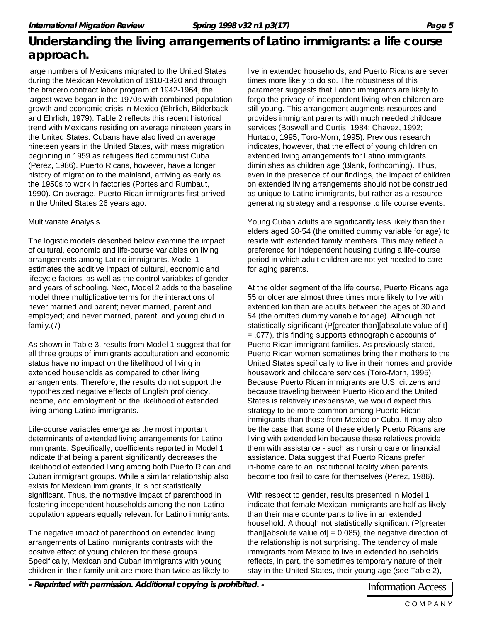large numbers of Mexicans migrated to the United States during the Mexican Revolution of 1910-1920 and through the bracero contract labor program of 1942-1964, the largest wave began in the 1970s with combined population growth and economic crisis in Mexico (Ehrlich, Bilderback and Ehrlich, 1979). Table 2 reflects this recent historical trend with Mexicans residing on average nineteen years in the United States. Cubans have also lived on average nineteen years in the United States, with mass migration beginning in 1959 as refugees fled communist Cuba (Perez, 1986). Puerto Ricans, however, have a longer history of migration to the mainland, arriving as early as the 1950s to work in factories (Portes and Rumbaut, 1990). On average, Puerto Rican immigrants first arrived in the United States 26 years ago.

#### Multivariate Analysis

The logistic models described below examine the impact of cultural, economic and life-course variables on living arrangements among Latino immigrants. Model 1 estimates the additive impact of cultural, economic and lifecycle factors, as well as the control variables of gender and years of schooling. Next, Model 2 adds to the baseline model three multiplicative terms for the interactions of never married and parent; never married, parent and employed; and never married, parent, and young child in family.(7)

As shown in Table 3, results from Model 1 suggest that for all three groups of immigrants acculturation and economic status have no impact on the likelihood of living in extended households as compared to other living arrangements. Therefore, the results do not support the hypothesized negative effects of English proficiency, income, and employment on the likelihood of extended living among Latino immigrants.

Life-course variables emerge as the most important determinants of extended living arrangements for Latino immigrants. Specifically, coefficients reported in Model 1 indicate that being a parent significantly decreases the likelihood of extended living among both Puerto Rican and Cuban immigrant groups. While a similar relationship also exists for Mexican immigrants, it is not statistically significant. Thus, the normative impact of parenthood in fostering independent households among the non-Latino population appears equally relevant for Latino immigrants.

The negative impact of parenthood on extended living arrangements of Latino immigrants contrasts with the positive effect of young children for these groups. Specifically, Mexican and Cuban immigrants with young children in their family unit are more than twice as likely to live in extended households, and Puerto Ricans are seven times more likely to do so. The robustness of this parameter suggests that Latino immigrants are likely to forgo the privacy of independent living when children are still young. This arrangement augments resources and provides immigrant parents with much needed childcare services (Boswell and Curtis, 1984; Chavez, 1992; Hurtado, 1995; Toro-Morn, 1995). Previous research indicates, however, that the effect of young children on extended living arrangements for Latino immigrants diminishes as children age (Blank, forthcoming). Thus, even in the presence of our findings, the impact of children on extended living arrangements should not be construed as unique to Latino immigrants, but rather as a resource generating strategy and a response to life course events.

Young Cuban adults are significantly less likely than their elders aged 30-54 (the omitted dummy variable for age) to reside with extended family members. This may reflect a preference for independent housing during a life-course period in which adult children are not yet needed to care for aging parents.

At the older segment of the life course, Puerto Ricans age 55 or older are almost three times more likely to live with extended kin than are adults between the ages of 30 and 54 (the omitted dummy variable for age). Although not statistically significant (P[greater than][absolute value of t] = .077), this finding supports ethnographic accounts of Puerto Rican immigrant families. As previously stated, Puerto Rican women sometimes bring their mothers to the United States specifically to live in their homes and provide housework and childcare services (Toro-Morn, 1995). Because Puerto Rican immigrants are U.S. citizens and because traveling between Puerto Rico and the United States is relatively inexpensive, we would expect this strategy to be more common among Puerto Rican immigrants than those from Mexico or Cuba. It may also be the case that some of these elderly Puerto Ricans are living with extended kin because these relatives provide them with assistance - such as nursing care or financial assistance. Data suggest that Puerto Ricans prefer in-home care to an institutional facility when parents become too frail to care for themselves (Perez, 1986).

With respect to gender, results presented in Model 1 indicate that female Mexican immigrants are half as likely than their male counterparts to live in an extended household. Although not statistically significant (P[greater than][absolute value of] =  $0.085$ ), the negative direction of the relationship is not surprising. The tendency of male immigrants from Mexico to live in extended households reflects, in part, the sometimes temporary nature of their stay in the United States, their young age (see Table 2),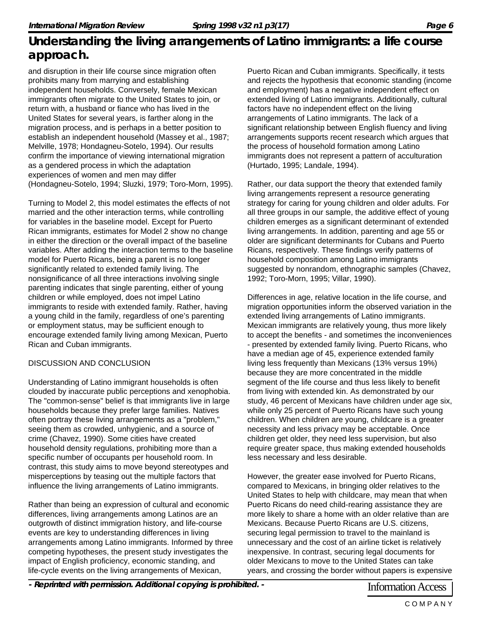and disruption in their life course since migration often prohibits many from marrying and establishing independent households. Conversely, female Mexican immigrants often migrate to the United States to join, or return with, a husband or fiance who has lived in the United States for several years, is farther along in the migration process, and is perhaps in a better position to establish an independent household (Massey et al., 1987; Melville, 1978; Hondagneu-Sotelo, 1994). Our results confirm the importance of viewing international migration as a gendered process in which the adaptation experiences of women and men may differ (Hondagneu-Sotelo, 1994; Sluzki, 1979; Toro-Morn, 1995).

Turning to Model 2, this model estimates the effects of not married and the other interaction terms, while controlling for variables in the baseline model. Except for Puerto Rican immigrants, estimates for Model 2 show no change in either the direction or the overall impact of the baseline variables. After adding the interaction terms to the baseline model for Puerto Ricans, being a parent is no longer significantly related to extended family living. The nonsignificance of all three interactions involving single parenting indicates that single parenting, either of young children or while employed, does not impel Latino immigrants to reside with extended family. Rather, having a young child in the family, regardless of one's parenting or employment status, may be sufficient enough to encourage extended family living among Mexican, Puerto Rican and Cuban immigrants.

#### DISCUSSION AND CONCLUSION

Understanding of Latino immigrant households is often clouded by inaccurate public perceptions and xenophobia. The "common-sense" belief is that immigrants live in large households because they prefer large families. Natives often portray these living arrangements as a "problem," seeing them as crowded, unhygienic, and a source of crime (Chavez, 1990). Some cities have created household density regulations, prohibiting more than a specific number of occupants per household room. In contrast, this study aims to move beyond stereotypes and misperceptions by teasing out the multiple factors that influence the living arrangements of Latino immigrants.

Rather than being an expression of cultural and economic differences, living arrangements among Latinos are an outgrowth of distinct immigration history, and life-course events are key to understanding differences in living arrangements among Latino immigrants. Informed by three competing hypotheses, the present study investigates the impact of English proficiency, economic standing, and life-cycle events on the living arrangements of Mexican,

Puerto Rican and Cuban immigrants. Specifically, it tests and rejects the hypothesis that economic standing (income and employment) has a negative independent effect on extended living of Latino immigrants. Additionally, cultural factors have no independent effect on the living arrangements of Latino immigrants. The lack of a significant relationship between English fluency and living arrangements supports recent research which argues that the process of household formation among Latino immigrants does not represent a pattern of acculturation (Hurtado, 1995; Landale, 1994).

Rather, our data support the theory that extended family living arrangements represent a resource generating strategy for caring for young children and older adults. For all three groups in our sample, the additive effect of young children emerges as a significant determinant of extended living arrangements. In addition, parenting and age 55 or older are significant determinants for Cubans and Puerto Ricans, respectively. These findings verify patterns of household composition among Latino immigrants suggested by nonrandom, ethnographic samples (Chavez, 1992; Toro-Morn, 1995; Villar, 1990).

Differences in age, relative location in the life course, and migration opportunities inform the observed variation in the extended living arrangements of Latino immigrants. Mexican immigrants are relatively young, thus more likely to accept the benefits - and sometimes the inconveniences - presented by extended family living. Puerto Ricans, who have a median age of 45, experience extended family living less frequently than Mexicans (13% versus 19%) because they are more concentrated in the middle segment of the life course and thus less likely to benefit from living with extended kin. As demonstrated by our study, 46 percent of Mexicans have children under age six, while only 25 percent of Puerto Ricans have such young children. When children are young, childcare is a greater necessity and less privacy may be acceptable. Once children get older, they need less supervision, but also require greater space, thus making extended households less necessary and less desirable.

However, the greater ease involved for Puerto Ricans, compared to Mexicans, in bringing older relatives to the United States to help with childcare, may mean that when Puerto Ricans do need child-rearing assistance they are more likely to share a home with an older relative than are Mexicans. Because Puerto Ricans are U.S. citizens, securing legal permission to travel to the mainland is unnecessary and the cost of an airline ticket is relatively inexpensive. In contrast, securing legal documents for older Mexicans to move to the United States can take years, and crossing the border without papers is expensive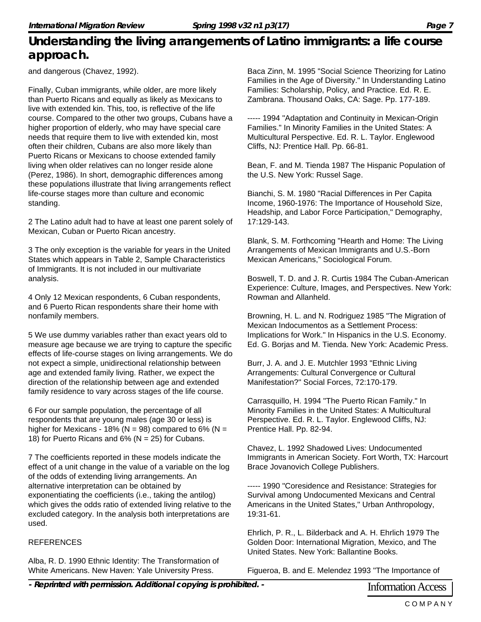and dangerous (Chavez, 1992).

Finally, Cuban immigrants, while older, are more likely than Puerto Ricans and equally as likely as Mexicans to live with extended kin. This, too, is reflective of the life course. Compared to the other two groups, Cubans have a higher proportion of elderly, who may have special care needs that require them to live with extended kin, most often their children, Cubans are also more likely than Puerto Ricans or Mexicans to choose extended family living when older relatives can no longer reside alone (Perez, 1986). In short, demographic differences among these populations illustrate that living arrangements reflect life-course stages more than culture and economic standing.

2 The Latino adult had to have at least one parent solely of Mexican, Cuban or Puerto Rican ancestry.

3 The only exception is the variable for years in the United States which appears in Table 2, Sample Characteristics of Immigrants. It is not included in our multivariate analysis.

4 Only 12 Mexican respondents, 6 Cuban respondents, and 6 Puerto Rican respondents share their home with nonfamily members.

5 We use dummy variables rather than exact years old to measure age because we are trying to capture the specific effects of life-course stages on living arrangements. We do not expect a simple, unidirectional relationship between age and extended family living. Rather, we expect the direction of the relationship between age and extended family residence to vary across stages of the life course.

6 For our sample population, the percentage of all respondents that are young males (age 30 or less) is higher for Mexicans - 18% ( $N = 98$ ) compared to 6% ( $N =$ 18) for Puerto Ricans and  $6\%$  (N = 25) for Cubans.

7 The coefficients reported in these models indicate the effect of a unit change in the value of a variable on the log of the odds of extending living arrangements. An alternative interpretation can be obtained by exponentiating the coefficients (i.e., taking the antilog) which gives the odds ratio of extended living relative to the excluded category. In the analysis both interpretations are used.

#### **REFERENCES**

Alba, R. D. 1990 Ethnic Identity: The Transformation of White Americans. New Haven: Yale University Press.

Baca Zinn, M. 1995 "Social Science Theorizing for Latino Families in the Age of Diversity." In Understanding Latino Families: Scholarship, Policy, and Practice. Ed. R. E. Zambrana. Thousand Oaks, CA: Sage. Pp. 177-189.

----- 1994 "Adaptation and Continuity in Mexican-Origin Families." In Minority Families in the United States: A Multicultural Perspective. Ed. R. L. Taylor. Englewood Cliffs, NJ: Prentice Hall. Pp. 66-81.

Bean, F. and M. Tienda 1987 The Hispanic Population of the U.S. New York: Russel Sage.

Bianchi, S. M. 1980 "Racial Differences in Per Capita Income, 1960-1976: The Importance of Household Size, Headship, and Labor Force Participation," Demography, 17:129-143.

Blank, S. M. Forthcoming "Hearth and Home: The Living Arrangements of Mexican Immigrants and U.S.-Born Mexican Americans," Sociological Forum.

Boswell, T. D. and J. R. Curtis 1984 The Cuban-American Experience: Culture, Images, and Perspectives. New York: Rowman and Allanheld.

Browning, H. L. and N. Rodriguez 1985 "The Migration of Mexican Indocumentos as a Settlement Process: Implications for Work." In Hispanics in the U.S. Economy. Ed. G. Borjas and M. Tienda. New York: Academic Press.

Burr, J. A. and J. E. Mutchler 1993 "Ethnic Living Arrangements: Cultural Convergence or Cultural Manifestation?" Social Forces, 72:170-179.

Carrasquillo, H. 1994 "The Puerto Rican Family." In Minority Families in the United States: A Multicultural Perspective. Ed. R. L. Taylor. Englewood Cliffs, NJ: Prentice Hall. Pp. 82-94.

Chavez, L. 1992 Shadowed Lives: Undocumented Immigrants in American Society. Fort Worth, TX: Harcourt Brace Jovanovich College Publishers.

----- 1990 "Coresidence and Resistance: Strategies for Survival among Undocumented Mexicans and Central Americans in the United States," Urban Anthropology, 19:31-61.

Ehrlich, P. R., L. Bilderback and A. H. Ehrlich 1979 The Golden Door: International Migration, Mexico, and The United States. New York: Ballantine Books.

Figueroa, B. and E. Melendez 1993 "The Importance of

- Reprinted with permission. Additional copying is prohibited. - **Information Access**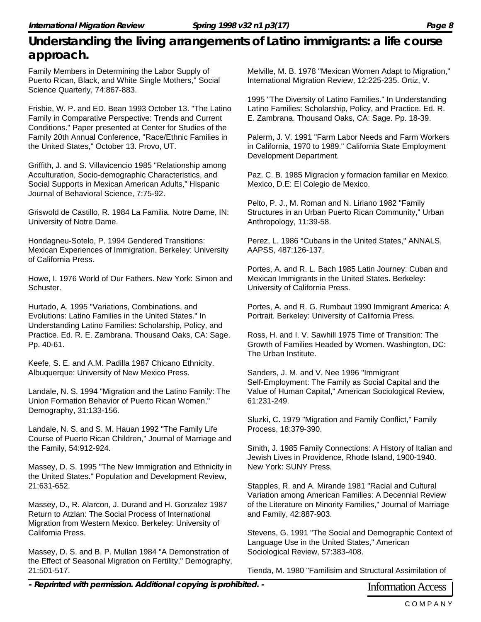Family Members in Determining the Labor Supply of Puerto Rican, Black, and White Single Mothers," Social Science Quarterly, 74:867-883.

Frisbie, W. P. and ED. Bean 1993 October 13. "The Latino Family in Comparative Perspective: Trends and Current Conditions." Paper presented at Center for Studies of the Family 20th Annual Conference, "Race/Ethnic Families in the United States," October 13. Provo, UT.

Griffith, J. and S. Villavicencio 1985 "Relationship among Acculturation, Socio-demographic Characteristics, and Social Supports in Mexican American Adults," Hispanic Journal of Behavioral Science, 7:75-92.

Griswold de Castillo, R. 1984 La Familia. Notre Dame, IN: University of Notre Dame.

Hondagneu-Sotelo, P. 1994 Gendered Transitions: Mexican Experiences of Immigration. Berkeley: University of California Press.

Howe, I. 1976 World of Our Fathers. New York: Simon and **Schuster** 

Hurtado, A. 1995 "Variations, Combinations, and Evolutions: Latino Families in the United States." In Understanding Latino Families: Scholarship, Policy, and Practice. Ed. R. E. Zambrana. Thousand Oaks, CA: Sage. Pp. 40-61.

Keefe, S. E. and A.M. Padilla 1987 Chicano Ethnicity. Albuquerque: University of New Mexico Press.

Landale, N. S. 1994 "Migration and the Latino Family: The Union Formation Behavior of Puerto Rican Women," Demography, 31:133-156.

Landale, N. S. and S. M. Hauan 1992 "The Family Life Course of Puerto Rican Children," Journal of Marriage and the Family, 54:912-924.

Massey, D. S. 1995 "The New Immigration and Ethnicity in the United States." Population and Development Review, 21:631-652.

Massey, D., R. Alarcon, J. Durand and H. Gonzalez 1987 Return to Atzlan: The Social Process of International Migration from Western Mexico. Berkeley: University of California Press.

Massey, D. S. and B. P. Mullan 1984 "A Demonstration of the Effect of Seasonal Migration on Fertility," Demography, 21:501-517.

Melville, M. B. 1978 "Mexican Women Adapt to Migration," International Migration Review, 12:225-235. Ortiz, V.

1995 "The Diversity of Latino Families." In Understanding Latino Families: Scholarship, Policy, and Practice. Ed. R. E. Zambrana. Thousand Oaks, CA: Sage. Pp. 18-39.

Palerm, J. V. 1991 "Farm Labor Needs and Farm Workers in California, 1970 to 1989." California State Employment Development Department.

Paz, C. B. 1985 Migracion y formacion familiar en Mexico. Mexico, D.E: El Colegio de Mexico.

Pelto, P. J., M. Roman and N. Liriano 1982 "Family Structures in an Urban Puerto Rican Community," Urban Anthropology, 11:39-58.

Perez, L. 1986 "Cubans in the United States," ANNALS, AAPSS, 487:126-137.

Portes, A. and R. L. Bach 1985 Latin Journey: Cuban and Mexican Immigrants in the United States. Berkeley: University of California Press.

Portes, A. and R. G. Rumbaut 1990 Immigrant America: A Portrait. Berkeley: University of California Press.

Ross, H. and I. V. Sawhill 1975 Time of Transition: The Growth of Families Headed by Women. Washington, DC: The Urban Institute.

Sanders, J. M. and V. Nee 1996 "Immigrant Self-Employment: The Family as Social Capital and the Value of Human Capital," American Sociological Review, 61:231-249.

Sluzki, C. 1979 "Migration and Family Conflict," Family Process, 18:379-390.

Smith, J. 1985 Family Connections: A History of Italian and Jewish Lives in Providence, Rhode Island, 1900-1940. New York: SUNY Press.

Stapples, R. and A. Mirande 1981 "Racial and Cultural Variation among American Families: A Decennial Review of the Literature on Minority Families," Journal of Marriage and Family, 42:887-903.

Stevens, G. 1991 "The Social and Demographic Context of Language Use in the United States," American Sociological Review, 57:383-408.

Tienda, M. 1980 "Familisim and Structural Assimilation of